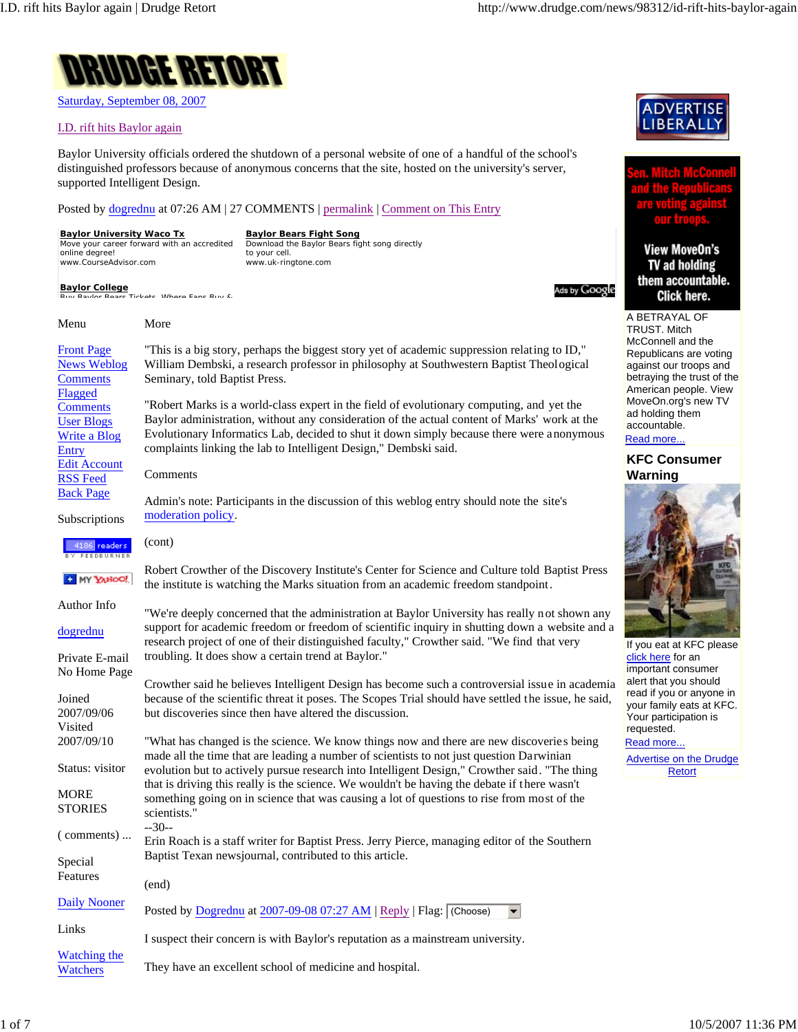

Saturday, September 08, 2007

## I.D. rift hits Baylor again

Baylor University officials ordered the shutdown of a personal website of one of a handful of the school's distinguished professors because of anonymous concerns that the site, hosted on the university's server, supported Intelligent Design.

Posted by dogrednu at 07:26 AM | 27 COMMENTS | permalink | Comment on This Entry

They have an excellent school of medicine and hospital.

**Baylor University Waco Tx Baylor Bears Fight Song** ve your career forward with an accredited Download the Baylor Bears fight song directly online degree! to your cell. www.CourseAdvisor.com www.uk-ringtone.com **Baylor College** <sup>Ads by Google</sup> **Burne Baylor Baylor** Buy & Click here. A BETRAYAL OF Menu More TRUST. Mitch Front Page "This is a big story, perhaps the biggest story yet of academic suppression relating to ID," News Weblog William Dembski, a research professor in philosophy at Southwestern Baptist Theological **Comments** Seminary, told Baptist Press. Flagged "Robert Marks is a world-class expert in the field of evolutionary computing, and yet the **Comments** ad holding them User Blogs Baylor administration, without any consideration of the actual content of Marks' work at the accountable. Write a Blog Evolutionary Informatics Lab, decided to shut it down simply because there were anonymous Read more... complaints linking the lab to Intelligent Design," Dembski said. Entry Edit Account Comments **Warning** RSS Feed Back Page Admin's note: Participants in the discussion of this weblog entry should note the site's moderation policy. Subscriptions (cont) 4186 readers Robert Crowther of the Discovery Institute's Center for Science and Culture told Baptist Press **C** MY YAHOO! the institute is watching the Marks situation from an academic freedom standpoint. Author Info "We're deeply concerned that the administration at Baylor University has really not shown any support for academic freedom or freedom of scientific inquiry in shutting down a website and a dogrednu research project of one of their distinguished faculty," Crowther said. "We find that very troubling. It does show a certain trend at Baylor." Private E-mail click here for an No Home Page Crowther said he believes Intelligent Design has become such a controversial issue in academia Joined because of the scientific threat it poses. The Scopes Trial should have settled the issue, he said, 2007/09/06 but discoveries since then have altered the discussion. Visited requested. 2007/09/10 "What has changed is the science. We know things now and there are new discoveries being Read more... made all the time that are leading a number of scientists to not just question Darwinian Status: visitor evolution but to actively pursue research into Intelligent Design," Crowther said. "The thing **Retort** that is driving this really is the science. We wouldn't be having the debate if there wasn't **MORE** something going on in science that was causing a lot of questions to rise from most of the **STORIES** scientists." --30-- ( comments) ... Erin Roach is a staff writer for Baptist Press. Jerry Pierce, managing editor of the Southern Baptist Texan newsjournal, contributed to this article. Special Features (end) Daily Nooner Posted by Dogrednu at 2007-09-08 07:27 AM | Reply | Flag:  $|$  (Choose)  $\blacktriangleright$ Links I suspect their concern is with Baylor's reputation as a mainstream university. Watching the



## **View MoveOn's** TV ad holding them accountable.

McConnell and the Republicans are voting against our troops and betraying the trust of the American people. View MoveOn.org's new TV

## **KFC Consumer**



If you eat at KFC please important consumer alert that you should read if you or anyone in your family eats at KFC. Your participation is

Advertise on the Drudge

**Watchers**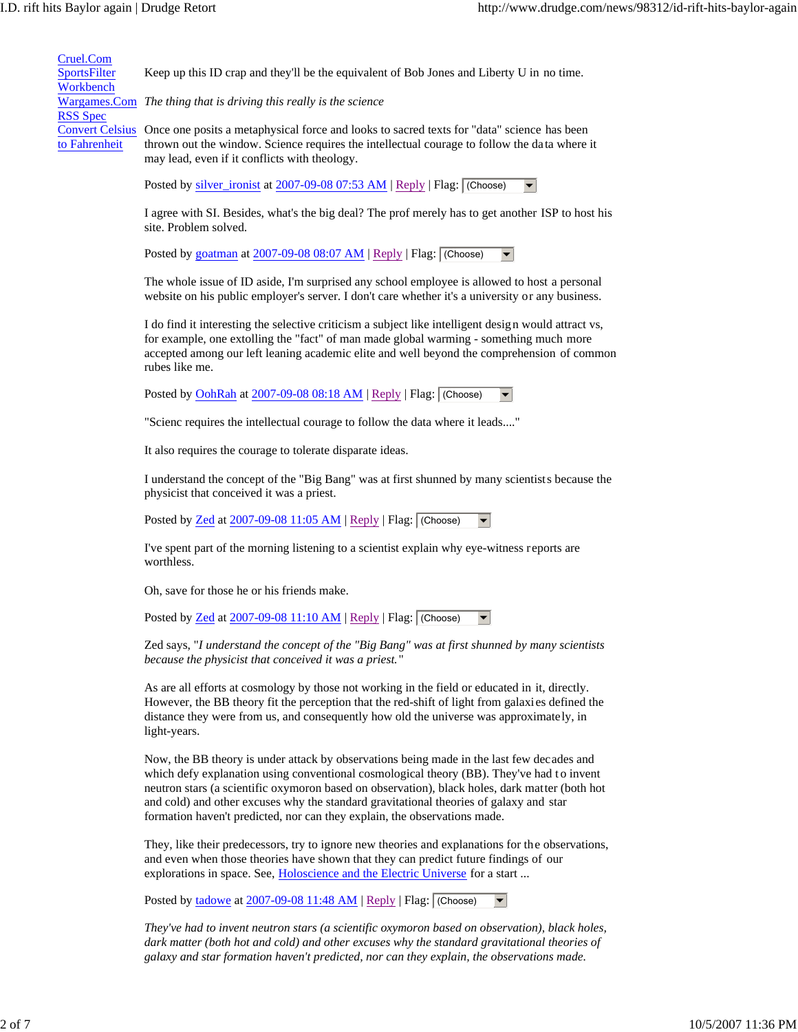Cruel.Com **SportsFilter** Workbench Wargames.Com *The thing that is driving this really is the science* RSS Spec Convert Celsius Once one posits a metaphysical force and looks to sacred texts for "data" science has been to Fahrenheit Keep up this ID crap and they'll be the equivalent of Bob Jones and Liberty U in no time. thrown out the window. Science requires the intellectual courage to follow the data where it may lead, even if it conflicts with theology.

Posted by silver\_ironist at 2007-09-08 07:53 AM | Reply | Flag: (Choose)

I agree with SI. Besides, what's the big deal? The prof merely has to get another ISP to host his site. Problem solved.

Posted by goatman at 2007-09-08 08:07 AM | Reply | Flag:  $|$  (Choose)  $\blacktriangledown$ 

The whole issue of ID aside, I'm surprised any school employee is allowed to host a personal website on his public employer's server. I don't care whether it's a university or any business.

I do find it interesting the selective criticism a subject like intelligent design would attract vs, for example, one extolling the "fact" of man made global warming - something much more accepted among our left leaning academic elite and well beyond the comprehension of common rubes like me.

Posted by OohRah at  $2007-09-0808:18$  AM | Reply | Flag: (Choose)  $\blacktriangledown$ 

"Scienc requires the intellectual courage to follow the data where it leads...."

It also requires the courage to tolerate disparate ideas.

I understand the concept of the "Big Bang" was at first shunned by many scientists because the physicist that conceived it was a priest.

Posted by Zed at 2007-09-08 11:05 AM | Reply | Flag: (Choose)  $\blacktriangledown$ 

I've spent part of the morning listening to a scientist explain why eye-witness reports are worthless.

Oh, save for those he or his friends make.

Posted by  $\frac{\text{Zed}}{\text{Zed}}$  at  $\frac{2007-09-0811:10 \text{ AM}}{\text{M} \cdot \text{Reply}}$  Flag: (Choose)

Zed says, "*I understand the concept of the "Big Bang" was at first shunned by many scientists because the physicist that conceived it was a priest.*"

As are all efforts at cosmology by those not working in the field or educated in it, directly. However, the BB theory fit the perception that the red-shift of light from galaxies defined the distance they were from us, and consequently how old the universe was approximately, in light-years.

Now, the BB theory is under attack by observations being made in the last few decades and which defy explanation using conventional cosmological theory (BB). They've had to invent neutron stars (a scientific oxymoron based on observation), black holes, dark matter (both hot and cold) and other excuses why the standard gravitational theories of galaxy and star formation haven't predicted, nor can they explain, the observations made.

They, like their predecessors, try to ignore new theories and explanations for the observations, and even when those theories have shown that they can predict future findings of our explorations in space. See, Holoscience and the Electric Universe for a start ...

Posted by tadowe at 2007-09-08 11:48 AM | Reply | Flag: (Choose)

*They've had to invent neutron stars (a scientific oxymoron based on observation), black holes, dark matter (both hot and cold) and other excuses why the standard gravitational theories of galaxy and star formation haven't predicted, nor can they explain, the observations made.*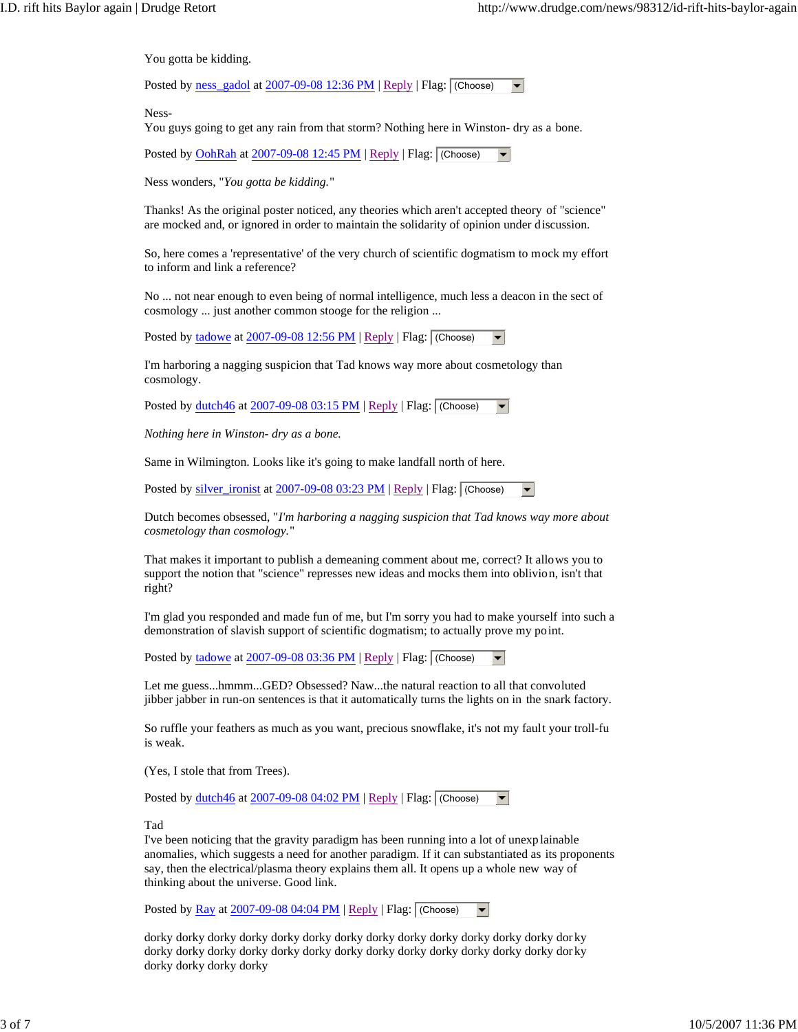You gotta be kidding.

Posted by ness\_gadol at 2007-09-08 12:36 PM | Reply | Flag:  $|$  (Choose)  $\blacktriangledown$ 

Ness-

You guys going to get any rain from that storm? Nothing here in Winston- dry as a bone.

Posted by OohRah at 2007-09-08 12:45 PM | Reply | Flag: (Choose)

Ness wonders, "*You gotta be kidding.*"

Thanks! As the original poster noticed, any theories which aren't accepted theory of "science" are mocked and, or ignored in order to maintain the solidarity of opinion under discussion.

So, here comes a 'representative' of the very church of scientific dogmatism to mock my effort to inform and link a reference?

No ... not near enough to even being of normal intelligence, much less a deacon in the sect of cosmology ... just another common stooge for the religion ...

Posted by tadowe at 2007-09-08 12:56 PM | Reply | Flag:  $\sqrt{\frac{F_{\text{obs}}}{F_{\text{obs}}}}$ 

I'm harboring a nagging suspicion that Tad knows way more about cosmetology than cosmology.

Posted by dutch46 at  $2007-09-0803:15$  PM | Reply | Flag: (Choose)  $\blacktriangledown$ 

*Nothing here in Winston- dry as a bone.*

Same in Wilmington. Looks like it's going to make landfall north of here.

Posted by  $\frac{\text{silver\_ironist}}{\text{at } 2007-09-08\,03:23\text{ PM}}$  | Reply | Flag: (Choose)  $\blacktriangledown$ 

Dutch becomes obsessed, "*I'm harboring a nagging suspicion that Tad knows way more about cosmetology than cosmology.*"

That makes it important to publish a demeaning comment about me, correct? It allows you to support the notion that "science" represses new ideas and mocks them into oblivion, isn't that right?

I'm glad you responded and made fun of me, but I'm sorry you had to make yourself into such a demonstration of slavish support of scientific dogmatism; to actually prove my point.

Posted by tadowe at 2007-09-08 03:36 PM | Reply | Flag:  $\sqrt{\frac{C \text{loose}}{n}}$ 

Let me guess...hmmm...GED? Obsessed? Naw...the natural reaction to all that convoluted jibber jabber in run-on sentences is that it automatically turns the lights on in the snark factory.

So ruffle your feathers as much as you want, precious snowflake, it's not my fault your troll-fu is weak.

(Yes, I stole that from Trees).

Posted by dutch46 at 2007-09-08 04:02 PM | Reply | Flag:  $|$  (Choose)  $\blacktriangledown$ 

Tad

I've been noticing that the gravity paradigm has been running into a lot of unexp lainable anomalies, which suggests a need for another paradigm. If it can substantiated as its proponents say, then the electrical/plasma theory explains them all. It opens up a whole new way of thinking about the universe. Good link.

Posted by  $\frac{Ray}{2007-09-0804:04 PM}$  | Reply | Flag: (Choose)  $\blacktriangledown$ 

dorky dorky dorky dorky dorky dorky dorky dorky dorky dorky dorky dorky dorky dor ky dorky dorky dorky dorky dorky dorky dorky dorky dorky dorky dorky dorky dorky dor ky dorky dorky dorky dorky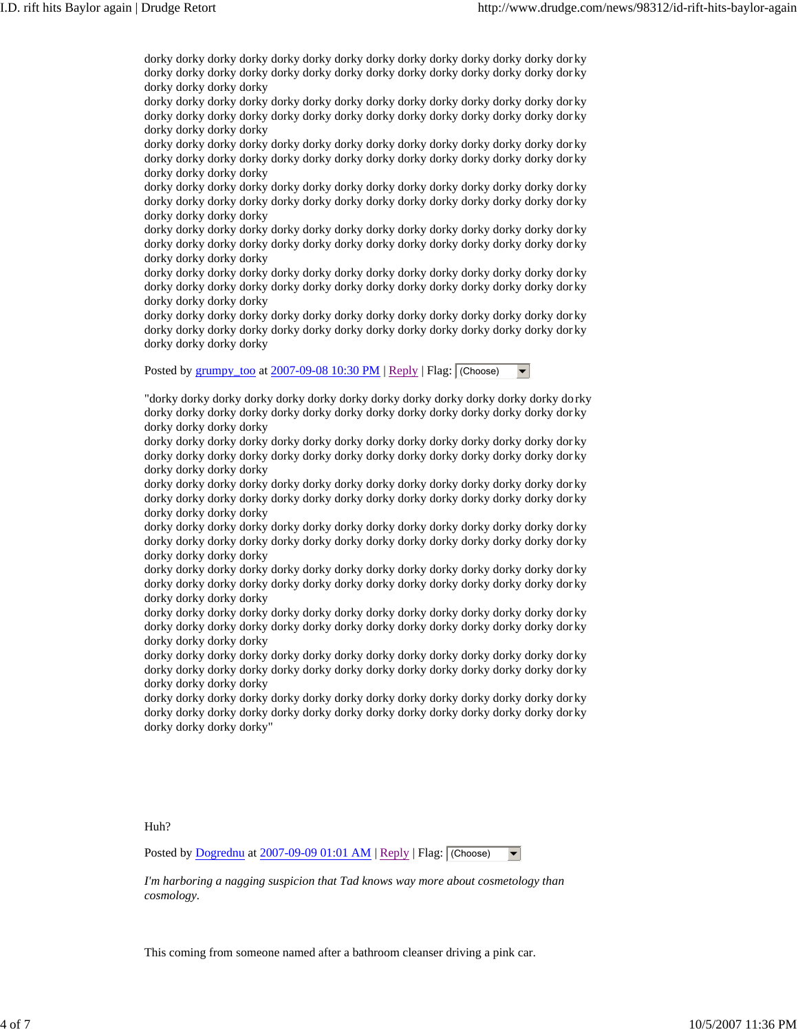dorky dorky dorky dorky dorky dorky dorky dorky dorky dorky dorky dorky dorky dor ky dorky dorky dorky dorky dorky dorky dorky dorky dorky dorky dorky dorky dorky dor ky dorky dorky dorky dorky

dorky dorky dorky dorky dorky dorky dorky dorky dorky dorky dorky dorky dorky dor ky dorky dorky dorky dorky dorky dorky dorky dorky dorky dorky dorky dorky dorky dor ky dorky dorky dorky dorky

dorky dorky dorky dorky dorky dorky dorky dorky dorky dorky dorky dorky dorky dor ky dorky dorky dorky dorky dorky dorky dorky dorky dorky dorky dorky dorky dorky dor ky dorky dorky dorky dorky

dorky dorky dorky dorky dorky dorky dorky dorky dorky dorky dorky dorky dorky dor ky dorky dorky dorky dorky dorky dorky dorky dorky dorky dorky dorky dorky dorky dor ky dorky dorky dorky dorky

dorky dorky dorky dorky dorky dorky dorky dorky dorky dorky dorky dorky dorky dor ky dorky dorky dorky dorky dorky dorky dorky dorky dorky dorky dorky dorky dorky dor ky dorky dorky dorky dorky

dorky dorky dorky dorky dorky dorky dorky dorky dorky dorky dorky dorky dorky dor ky dorky dorky dorky dorky dorky dorky dorky dorky dorky dorky dorky dorky dorky dor ky dorky dorky dorky dorky

dorky dorky dorky dorky dorky dorky dorky dorky dorky dorky dorky dorky dorky dor ky dorky dorky dorky dorky dorky dorky dorky dorky dorky dorky dorky dorky dorky dor ky dorky dorky dorky dorky

Posted by grumpy\_too at 2007-09-08 10:30 PM | Reply | Flag:  $|$  (Choose)  $\blacktriangledown$ 

"dorky dorky dorky dorky dorky dorky dorky dorky dorky dorky dorky dorky dorky do rky dorky dorky dorky dorky dorky dorky dorky dorky dorky dorky dorky dorky dorky dor ky dorky dorky dorky dorky

dorky dorky dorky dorky dorky dorky dorky dorky dorky dorky dorky dorky dorky dor ky dorky dorky dorky dorky dorky dorky dorky dorky dorky dorky dorky dorky dorky dor ky dorky dorky dorky dorky

dorky dorky dorky dorky dorky dorky dorky dorky dorky dorky dorky dorky dorky dor ky dorky dorky dorky dorky dorky dorky dorky dorky dorky dorky dorky dorky dorky dor ky dorky dorky dorky dorky

dorky dorky dorky dorky dorky dorky dorky dorky dorky dorky dorky dorky dorky dor ky dorky dorky dorky dorky dorky dorky dorky dorky dorky dorky dorky dorky dorky dor ky dorky dorky dorky dorky

dorky dorky dorky dorky dorky dorky dorky dorky dorky dorky dorky dorky dorky dor ky dorky dorky dorky dorky dorky dorky dorky dorky dorky dorky dorky dorky dorky dor ky dorky dorky dorky dorky

dorky dorky dorky dorky dorky dorky dorky dorky dorky dorky dorky dorky dorky dor ky dorky dorky dorky dorky dorky dorky dorky dorky dorky dorky dorky dorky dorky dor ky dorky dorky dorky dorky

dorky dorky dorky dorky dorky dorky dorky dorky dorky dorky dorky dorky dorky dor ky dorky dorky dorky dorky dorky dorky dorky dorky dorky dorky dorky dorky dorky dor ky dorky dorky dorky dorky

dorky dorky dorky dorky dorky dorky dorky dorky dorky dorky dorky dorky dorky dor ky dorky dorky dorky dorky dorky dorky dorky dorky dorky dorky dorky dorky dorky dor ky dorky dorky dorky dorky"

Huh?

Posted by  $Dogrednu$  at  $2007-09-09 01:01 AM$  | Reply | Flag: (Choose)  $\blacktriangledown$ 

*I'm harboring a nagging suspicion that Tad knows way more about cosmetology than cosmology.*

This coming from someone named after a bathroom cleanser driving a pink car.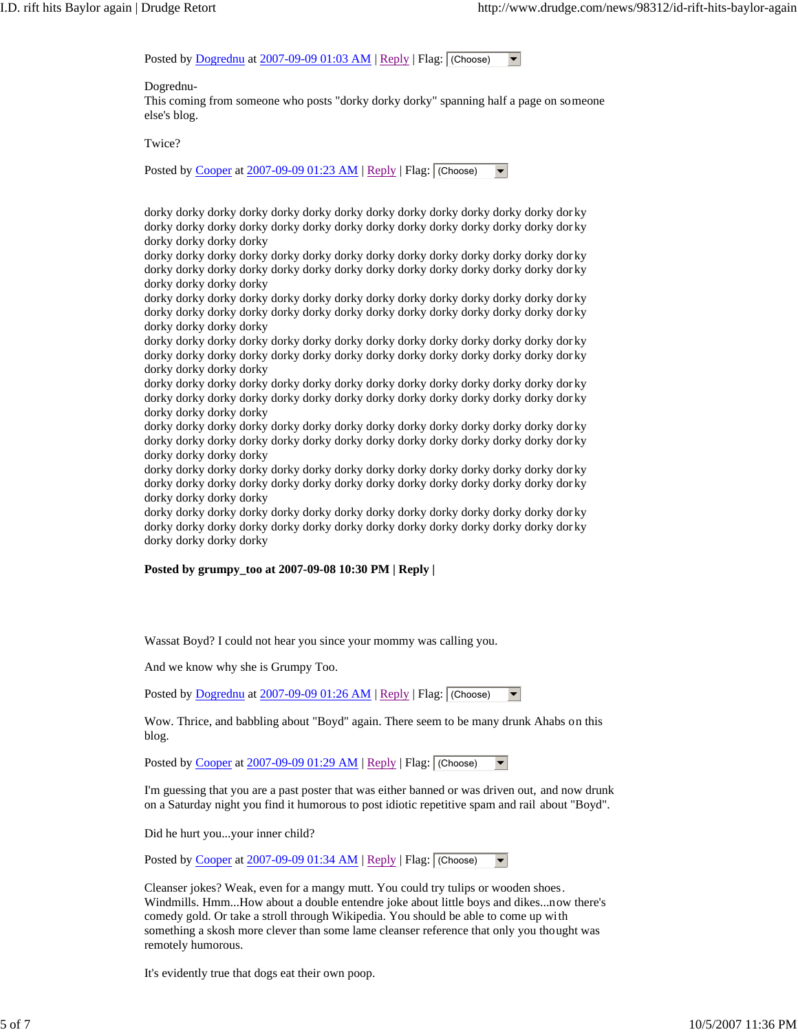Posted by  $Dogrednu$  at  $2007-09-09 01:03 AM | Reply | Flag: (Choose)  $\rightarrow$$ 

Dogrednu-

This coming from someone who posts "dorky dorky dorky" spanning half a page on someone else's blog.

Twice?

Posted by Cooper at 2007-09-09 01:23 AM | Reply | Flag:  $\sqrt{\frac{F_{\text{c}}}{F_{\text{c}}}}$ 

dorky dorky dorky dorky dorky dorky dorky dorky dorky dorky dorky dorky dorky dor ky dorky dorky dorky dorky dorky dorky dorky dorky dorky dorky dorky dorky dorky dor ky dorky dorky dorky dorky

dorky dorky dorky dorky dorky dorky dorky dorky dorky dorky dorky dorky dorky dor ky dorky dorky dorky dorky dorky dorky dorky dorky dorky dorky dorky dorky dorky dor ky dorky dorky dorky dorky

dorky dorky dorky dorky dorky dorky dorky dorky dorky dorky dorky dorky dorky dor ky dorky dorky dorky dorky dorky dorky dorky dorky dorky dorky dorky dorky dorky dor ky dorky dorky dorky dorky

dorky dorky dorky dorky dorky dorky dorky dorky dorky dorky dorky dorky dorky dor ky dorky dorky dorky dorky dorky dorky dorky dorky dorky dorky dorky dorky dorky dor ky dorky dorky dorky dorky

dorky dorky dorky dorky dorky dorky dorky dorky dorky dorky dorky dorky dorky dor ky dorky dorky dorky dorky dorky dorky dorky dorky dorky dorky dorky dorky dorky dor ky dorky dorky dorky dorky

dorky dorky dorky dorky dorky dorky dorky dorky dorky dorky dorky dorky dorky dor ky dorky dorky dorky dorky dorky dorky dorky dorky dorky dorky dorky dorky dorky dor ky dorky dorky dorky dorky

dorky dorky dorky dorky dorky dorky dorky dorky dorky dorky dorky dorky dorky dor ky dorky dorky dorky dorky dorky dorky dorky dorky dorky dorky dorky dorky dorky dor ky dorky dorky dorky dorky

dorky dorky dorky dorky dorky dorky dorky dorky dorky dorky dorky dorky dorky dor ky dorky dorky dorky dorky dorky dorky dorky dorky dorky dorky dorky dorky dorky dor ky dorky dorky dorky dorky

## **Posted by grumpy\_too at 2007-09-08 10:30 PM | Reply |**

Wassat Boyd? I could not hear you since your mommy was calling you.

And we know why she is Grumpy Too.

Posted by Dogrednu at 2007-09-09 01:26 AM | Reply | Flag: (Choose)

Wow. Thrice, and babbling about "Boyd" again. There seem to be many drunk Ahabs on this blog.

Posted by Cooper at 2007-09-09 01:29 AM | Reply | Flag:  $\sqrt{\frac{F(1)}{F(1)}}$ 

I'm guessing that you are a past poster that was either banned or was driven out, and now drunk on a Saturday night you find it humorous to post idiotic repetitive spam and rail about "Boyd".

Did he hurt you...your inner child?

Posted by Cooper at  $2007-09-09$  01:34 AM | Reply | Flag: (Choose)  $\blacktriangledown$ 

Cleanser jokes? Weak, even for a mangy mutt. You could try tulips or wooden shoes. Windmills. Hmm...How about a double entendre joke about little boys and dikes...now there's comedy gold. Or take a stroll through Wikipedia. You should be able to come up with something a skosh more clever than some lame cleanser reference that only you thought was remotely humorous.

It's evidently true that dogs eat their own poop.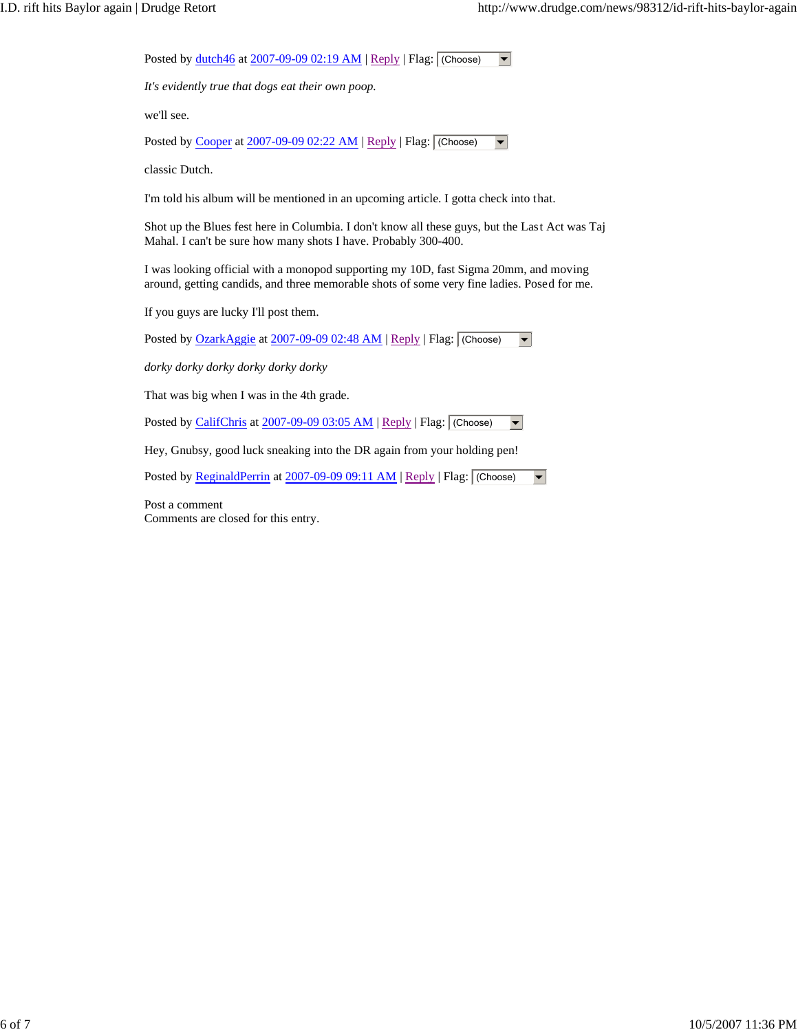| Posted by dutch46 at 2007-09-09 02:19 AM   Reply   Flag: [(Choose)                                                                                                                 |
|------------------------------------------------------------------------------------------------------------------------------------------------------------------------------------|
| It's evidently true that dogs eat their own poop.                                                                                                                                  |
| we'll see.                                                                                                                                                                         |
| Posted by Cooper at 2007-09-09 02:22 AM   Reply   Flag: (Choose)                                                                                                                   |
| classic Dutch.                                                                                                                                                                     |
| I'm told his album will be mentioned in an upcoming article. I gotta check into that.                                                                                              |
| Shot up the Blues fest here in Columbia. I don't know all these guys, but the Last Act was Taj<br>Mahal. I can't be sure how many shots I have. Probably 300-400.                  |
| I was looking official with a monopod supporting my 10D, fast Sigma 20mm, and moving<br>around, getting candids, and three memorable shots of some very fine ladies. Posed for me. |
| If you guys are lucky I'll post them.                                                                                                                                              |
| Posted by OzarkAggie at 2007-09-09 02:48 AM   Reply   Flag: (Choose)                                                                                                               |
| dorky dorky dorky dorky dorky dorky                                                                                                                                                |
| That was big when I was in the 4th grade.                                                                                                                                          |
| Posted by CalifChris at 2007-09-09 03:05 AM   Reply   Flag: (Choose)                                                                                                               |
| Hey, Gnubsy, good luck sneaking into the DR again from your holding pen!                                                                                                           |
| Posted by ReginaldPerrin at 2007-09-09 09:11 AM   Reply   Flag: (Choose)<br>$\blacktriangledown$                                                                                   |
| Post a comment                                                                                                                                                                     |

Comments are closed for this entry.